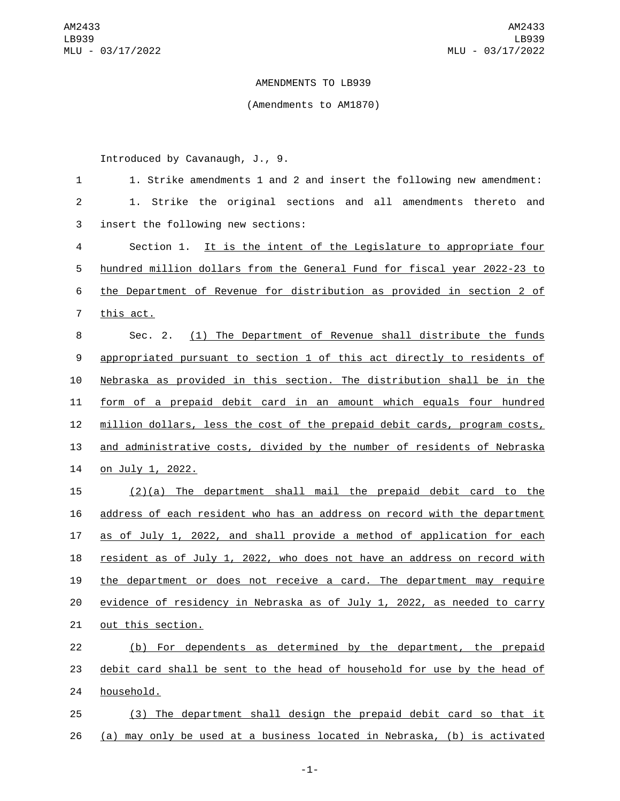## AMENDMENTS TO LB939

## (Amendments to AM1870)

Introduced by Cavanaugh, J., 9.

| $\mathbf 1$    | 1. Strike amendments 1 and 2 and insert the following new amendment:      |
|----------------|---------------------------------------------------------------------------|
| $\overline{c}$ | 1. Strike the original sections and all amendments thereto and            |
| 3              | insert the following new sections:                                        |
| 4              | Section 1. It is the intent of the Legislature to appropriate four        |
| 5              | hundred million dollars from the General Fund for fiscal year 2022-23 to  |
| 6              | the Department of Revenue for distribution as provided in section 2 of    |
| $\overline{7}$ | this act.                                                                 |
| 8              | Sec. 2. (1) The Department of Revenue shall distribute the funds          |
| 9              | appropriated pursuant to section 1 of this act directly to residents of   |
| 10             | Nebraska as provided in this section. The distribution shall be in the    |
| 11             | form of a prepaid debit card in an amount which equals four hundred       |
| 12             | million dollars, less the cost of the prepaid debit cards, program costs, |
| 13             | and administrative costs, divided by the number of residents of Nebraska  |
| 14             | on July 1, 2022.                                                          |
| 15             | $(2)(a)$ The department shall mail the prepaid debit card to the          |
| 16             | address of each resident who has an address on record with the department |
| 17             | as of July 1, 2022, and shall provide a method of application for each    |
| 18             | resident as of July 1, 2022, who does not have an address on record with  |
| 19             | the department or does not receive a card. The department may require     |
| 20             | evidence of residency in Nebraska as of July 1, 2022, as needed to carry  |
| 21             | out this section.                                                         |
| 22             | (b) For dependents as determined by the department, the prepaid           |
| 23             | debit card shall be sent to the head of household for use by the head of  |
| 24             | household.                                                                |
| 25             | (3) The department shall design the prepaid debit card so that it         |
| 26             | (a) may only be used at a business located in Nebraska, (b) is activated  |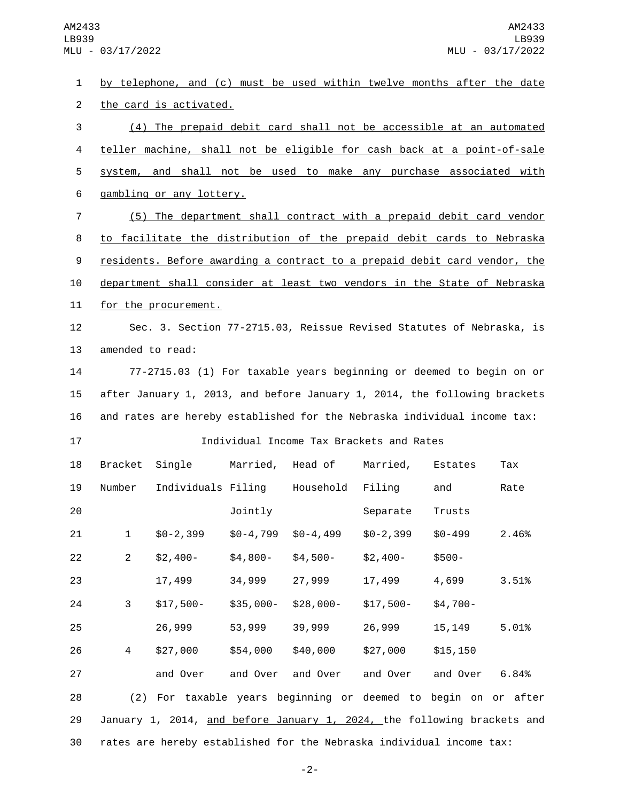by telephone, and (c) must be used within twelve months after the date 2 the card is activated. (4) The prepaid debit card shall not be accessible at an automated teller machine, shall not be eligible for cash back at a point-of-sale system, and shall not be used to make any purchase associated with 6 gambling or any lottery. (5) The department shall contract with a prepaid debit card vendor to facilitate the distribution of the prepaid debit cards to Nebraska residents. Before awarding a contract to a prepaid debit card vendor, the department shall consider at least two vendors in the State of Nebraska 11 for the procurement. Sec. 3. Section 77-2715.03, Reissue Revised Statutes of Nebraska, is 13 amended to read: 77-2715.03 (1) For taxable years beginning or deemed to begin on or after January 1, 2013, and before January 1, 2014, the following brackets and rates are hereby established for the Nebraska individual income tax: Individual Income Tax Brackets and Rates 18 Bracket Single Married, Head of Married, Estates Tax 19 Number Individuals Filing Household Filing and Rate **101** Jointly Separate Trusts \$0-2,399 \$0-4,799 \$0-4,499 \$0-2,399 \$0-499 2.46% \$2,400- \$4,800- \$4,500- \$2,400- \$500- 17,499 34,999 27,999 17,499 4,699 3.51% \$17,500- \$35,000- \$28,000- \$17,500- \$4,700- 26,999 53,999 39,999 26,999 15,149 5.01% \$27,000 \$54,000 \$40,000 \$27,000 \$15,150 and Over and Over and Over and Over and Over 6.84% (2) For taxable years beginning or deemed to begin on or after January 1, 2014, and before January 1, 2024, the following brackets and rates are hereby established for the Nebraska individual income tax:

-2-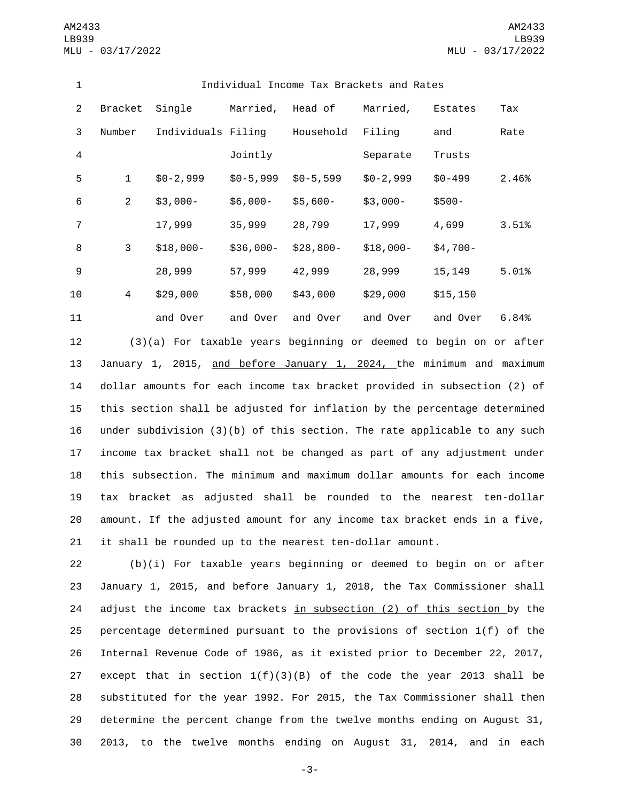| 1              | Individual Income Tax Brackets and Rates |                    |            |               |            |            |       |
|----------------|------------------------------------------|--------------------|------------|---------------|------------|------------|-------|
| 2              | <b>Bracket</b>                           | Single             | Married,   | Head of       | Married,   | Estates    | Tax   |
| 3              | Number                                   | Individuals Filing |            | Household     | Filing     | and        | Rate  |
| 4              |                                          |                    | Jointly    |               | Separate   | Trusts     |       |
| 5              | $\mathbf 1$                              | $$0-2,999$         | $$0-5,999$ | $$0 - 5, 599$ | $$0-2,999$ | $$0 - 499$ | 2.46% |
| 6              | $\overline{2}$                           | $$3,000-$          | $$6,000-$  | $$5,600-$     | $$3,000-$  | $$500-$    |       |
| $\overline{7}$ |                                          | 17,999             | 35,999     | 28,799        | 17,999     | 4,699      | 3.51% |
| 8              | 3                                        | $$18,000-$         | $$36,000-$ | $$28,800-$    | $$18,000-$ | $$4,700-$  |       |
| 9              |                                          | 28,999             | 57,999     | 42,999        | 28,999     | 15,149     | 5.01% |
| 10             | 4                                        | \$29,000           | \$58,000   | \$43,000      | \$29,000   | \$15, 150  |       |
| 11             |                                          | and Over           | and Over   | and Over      | and Over   | and Over   | 6.84% |

 (3)(a) For taxable years beginning or deemed to begin on or after 13 January 1, 2015, and before January 1, 2024, the minimum and maximum dollar amounts for each income tax bracket provided in subsection (2) of this section shall be adjusted for inflation by the percentage determined under subdivision (3)(b) of this section. The rate applicable to any such income tax bracket shall not be changed as part of any adjustment under this subsection. The minimum and maximum dollar amounts for each income tax bracket as adjusted shall be rounded to the nearest ten-dollar amount. If the adjusted amount for any income tax bracket ends in a five, it shall be rounded up to the nearest ten-dollar amount.

 (b)(i) For taxable years beginning or deemed to begin on or after January 1, 2015, and before January 1, 2018, the Tax Commissioner shall adjust the income tax brackets in subsection (2) of this section by the percentage determined pursuant to the provisions of section 1(f) of the Internal Revenue Code of 1986, as it existed prior to December 22, 2017, 27 except that in section  $1(f)(3)(B)$  of the code the year 2013 shall be substituted for the year 1992. For 2015, the Tax Commissioner shall then determine the percent change from the twelve months ending on August 31, 2013, to the twelve months ending on August 31, 2014, and in each

-3-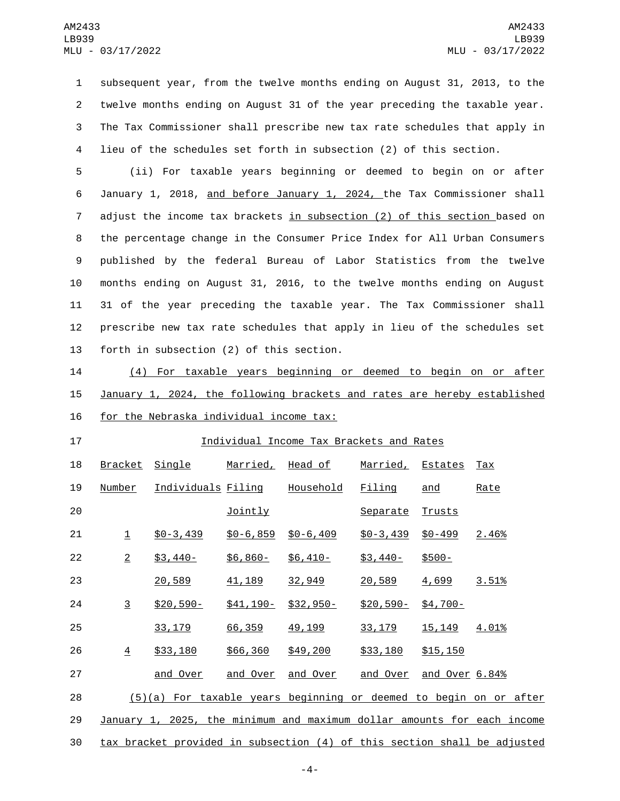subsequent year, from the twelve months ending on August 31, 2013, to the twelve months ending on August 31 of the year preceding the taxable year. The Tax Commissioner shall prescribe new tax rate schedules that apply in lieu of the schedules set forth in subsection (2) of this section.

 (ii) For taxable years beginning or deemed to begin on or after January 1, 2018, and before January 1, 2024, the Tax Commissioner shall adjust the income tax brackets in subsection (2) of this section based on the percentage change in the Consumer Price Index for All Urban Consumers published by the federal Bureau of Labor Statistics from the twelve months ending on August 31, 2016, to the twelve months ending on August 31 of the year preceding the taxable year. The Tax Commissioner shall prescribe new tax rate schedules that apply in lieu of the schedules set 13 forth in subsection (2) of this section.

 (4) For taxable years beginning or deemed to begin on or after January 1, 2024, the following brackets and rates are hereby established 16 for the Nebraska individual income tax:

## Individual Income Tax Brackets and Rates

| 18 | <b>Bracket</b>          | <u>Single</u>                                                            | <u>Married,</u> | Head of       | Married, Estates |                | <u>Tax</u>   |
|----|-------------------------|--------------------------------------------------------------------------|-----------------|---------------|------------------|----------------|--------------|
| 19 | Number                  | Individuals Filing                                                       |                 | Household     | Filing           | and            | Rate         |
| 20 |                         |                                                                          | <b>Jointly</b>  |               | Separate         | Trusts         |              |
| 21 | $\overline{\mathbf{1}}$ | $$0 - 3,439$                                                             | $$0 - 6, 859$   | $$0 - 6, 409$ | $$0 - 3,439$     | $$0 - 499$     | <u>2.46%</u> |
| 22 | $\overline{2}$          | $$3,440-$                                                                | $$6,860-$       | $$6,410-$     | $$3,440-$        | $$500-$        |              |
| 23 |                         | 20,589                                                                   | 41,189          | 32,949        | 20,589           | 4,699          | 3.51%        |
| 24 | $\overline{3}$          | $$20,590-$                                                               | $$41,190-$      | $$32,950-$    | $$20,590-$       | $$4,700-$      |              |
| 25 |                         | 33, 179                                                                  | 66,359          | 49, 199       | 33, 179          | 15, 149        | 4.01%        |
| 26 | $\overline{4}$          | \$33,180                                                                 | \$66,360        | \$49,200      | \$33,180         | \$15,150       |              |
| 27 |                         | and Over                                                                 | and Over        | and Over      | and Over         | and Over 6.84% |              |
| 28 |                         | $(5)(a)$ For taxable years beginning or deemed to begin on or after      |                 |               |                  |                |              |
| 29 |                         | January 1, 2025, the minimum and maximum dollar amounts for each income  |                 |               |                  |                |              |
| 30 |                         | tax bracket provided in subsection (4) of this section shall be adjusted |                 |               |                  |                |              |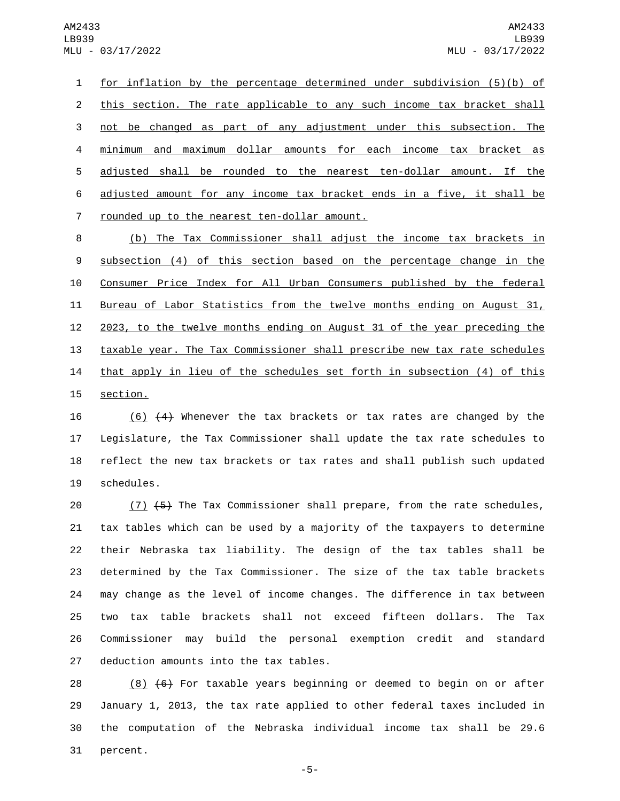1 for inflation by the percentage determined under subdivision (5)(b) of 2 this section. The rate applicable to any such income tax bracket shall 3 not be changed as part of any adjustment under this subsection. The 4 minimum and maximum dollar amounts for each income tax bracket as 5 adjusted shall be rounded to the nearest ten-dollar amount. If the 6 adjusted amount for any income tax bracket ends in a five, it shall be 7 rounded up to the nearest ten-dollar amount.

 (b) The Tax Commissioner shall adjust the income tax brackets in subsection (4) of this section based on the percentage change in the Consumer Price Index for All Urban Consumers published by the federal Bureau of Labor Statistics from the twelve months ending on August 31, 2023, to the twelve months ending on August 31 of the year preceding the taxable year. The Tax Commissioner shall prescribe new tax rate schedules 14 that apply in lieu of the schedules set forth in subsection (4) of this 15 section.

 (6) (4) Whenever the tax brackets or tax rates are changed by the Legislature, the Tax Commissioner shall update the tax rate schedules to reflect the new tax brackets or tax rates and shall publish such updated 19 schedules.

20 (7) (5) The Tax Commissioner shall prepare, from the rate schedules, tax tables which can be used by a majority of the taxpayers to determine their Nebraska tax liability. The design of the tax tables shall be determined by the Tax Commissioner. The size of the tax table brackets may change as the level of income changes. The difference in tax between two tax table brackets shall not exceed fifteen dollars. The Tax Commissioner may build the personal exemption credit and standard 27 deduction amounts into the tax tables.

 $(8)$   $(6)$  For taxable years beginning or deemed to begin on or after January 1, 2013, the tax rate applied to other federal taxes included in the computation of the Nebraska individual income tax shall be 29.6 31 percent.

-5-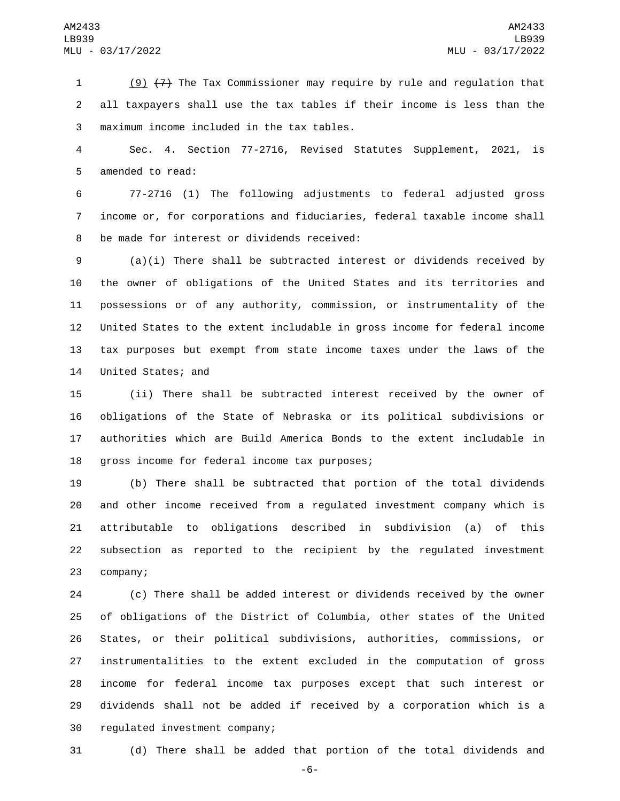(9) (7) The Tax Commissioner may require by rule and regulation that all taxpayers shall use the tax tables if their income is less than the maximum income included in the tax tables.3

 Sec. 4. Section 77-2716, Revised Statutes Supplement, 2021, is 5 amended to read:

 77-2716 (1) The following adjustments to federal adjusted gross income or, for corporations and fiduciaries, federal taxable income shall 8 be made for interest or dividends received:

 (a)(i) There shall be subtracted interest or dividends received by the owner of obligations of the United States and its territories and possessions or of any authority, commission, or instrumentality of the United States to the extent includable in gross income for federal income tax purposes but exempt from state income taxes under the laws of the 14 United States; and

 (ii) There shall be subtracted interest received by the owner of obligations of the State of Nebraska or its political subdivisions or authorities which are Build America Bonds to the extent includable in 18 gross income for federal income tax purposes;

 (b) There shall be subtracted that portion of the total dividends and other income received from a regulated investment company which is attributable to obligations described in subdivision (a) of this subsection as reported to the recipient by the regulated investment 23 company;

 (c) There shall be added interest or dividends received by the owner of obligations of the District of Columbia, other states of the United States, or their political subdivisions, authorities, commissions, or instrumentalities to the extent excluded in the computation of gross income for federal income tax purposes except that such interest or dividends shall not be added if received by a corporation which is a 30 regulated investment company;

(d) There shall be added that portion of the total dividends and

-6-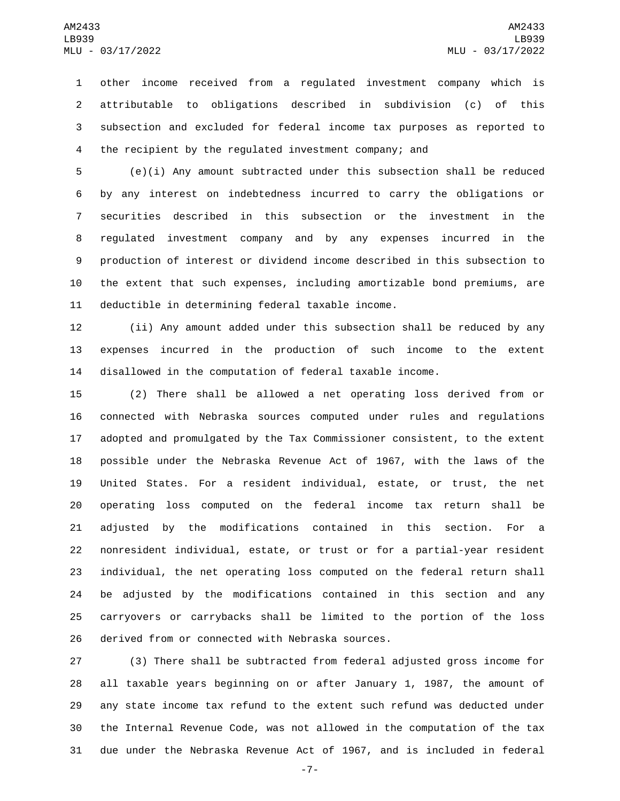other income received from a regulated investment company which is attributable to obligations described in subdivision (c) of this subsection and excluded for federal income tax purposes as reported to the recipient by the regulated investment company; and

 (e)(i) Any amount subtracted under this subsection shall be reduced by any interest on indebtedness incurred to carry the obligations or securities described in this subsection or the investment in the regulated investment company and by any expenses incurred in the production of interest or dividend income described in this subsection to the extent that such expenses, including amortizable bond premiums, are 11 deductible in determining federal taxable income.

 (ii) Any amount added under this subsection shall be reduced by any expenses incurred in the production of such income to the extent disallowed in the computation of federal taxable income.

 (2) There shall be allowed a net operating loss derived from or connected with Nebraska sources computed under rules and regulations adopted and promulgated by the Tax Commissioner consistent, to the extent possible under the Nebraska Revenue Act of 1967, with the laws of the United States. For a resident individual, estate, or trust, the net operating loss computed on the federal income tax return shall be adjusted by the modifications contained in this section. For a nonresident individual, estate, or trust or for a partial-year resident individual, the net operating loss computed on the federal return shall be adjusted by the modifications contained in this section and any carryovers or carrybacks shall be limited to the portion of the loss 26 derived from or connected with Nebraska sources.

 (3) There shall be subtracted from federal adjusted gross income for all taxable years beginning on or after January 1, 1987, the amount of any state income tax refund to the extent such refund was deducted under the Internal Revenue Code, was not allowed in the computation of the tax due under the Nebraska Revenue Act of 1967, and is included in federal

-7-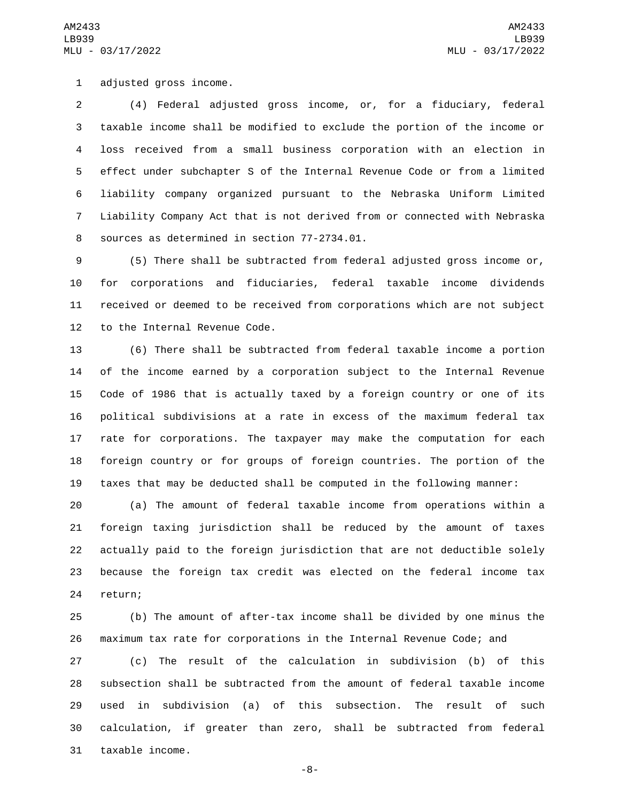1 adjusted gross income.

 (4) Federal adjusted gross income, or, for a fiduciary, federal taxable income shall be modified to exclude the portion of the income or loss received from a small business corporation with an election in effect under subchapter S of the Internal Revenue Code or from a limited liability company organized pursuant to the Nebraska Uniform Limited Liability Company Act that is not derived from or connected with Nebraska 8 sources as determined in section 77-2734.01.

 (5) There shall be subtracted from federal adjusted gross income or, for corporations and fiduciaries, federal taxable income dividends received or deemed to be received from corporations which are not subject 12 to the Internal Revenue Code.

 (6) There shall be subtracted from federal taxable income a portion of the income earned by a corporation subject to the Internal Revenue Code of 1986 that is actually taxed by a foreign country or one of its political subdivisions at a rate in excess of the maximum federal tax rate for corporations. The taxpayer may make the computation for each foreign country or for groups of foreign countries. The portion of the taxes that may be deducted shall be computed in the following manner:

 (a) The amount of federal taxable income from operations within a foreign taxing jurisdiction shall be reduced by the amount of taxes actually paid to the foreign jurisdiction that are not deductible solely because the foreign tax credit was elected on the federal income tax 24 return;

 (b) The amount of after-tax income shall be divided by one minus the maximum tax rate for corporations in the Internal Revenue Code; and

 (c) The result of the calculation in subdivision (b) of this subsection shall be subtracted from the amount of federal taxable income used in subdivision (a) of this subsection. The result of such calculation, if greater than zero, shall be subtracted from federal 31 taxable income.

-8-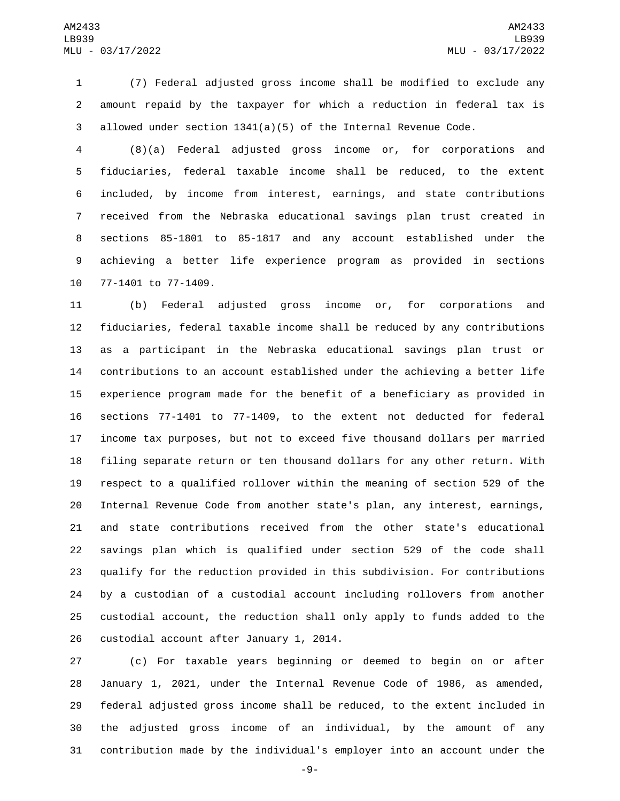(7) Federal adjusted gross income shall be modified to exclude any amount repaid by the taxpayer for which a reduction in federal tax is allowed under section 1341(a)(5) of the Internal Revenue Code.

 (8)(a) Federal adjusted gross income or, for corporations and fiduciaries, federal taxable income shall be reduced, to the extent included, by income from interest, earnings, and state contributions received from the Nebraska educational savings plan trust created in sections 85-1801 to 85-1817 and any account established under the achieving a better life experience program as provided in sections 10 77-1401 to 77-1409.

 (b) Federal adjusted gross income or, for corporations and fiduciaries, federal taxable income shall be reduced by any contributions as a participant in the Nebraska educational savings plan trust or contributions to an account established under the achieving a better life experience program made for the benefit of a beneficiary as provided in sections 77-1401 to 77-1409, to the extent not deducted for federal income tax purposes, but not to exceed five thousand dollars per married filing separate return or ten thousand dollars for any other return. With respect to a qualified rollover within the meaning of section 529 of the Internal Revenue Code from another state's plan, any interest, earnings, and state contributions received from the other state's educational savings plan which is qualified under section 529 of the code shall qualify for the reduction provided in this subdivision. For contributions by a custodian of a custodial account including rollovers from another custodial account, the reduction shall only apply to funds added to the 26 custodial account after January 1, 2014.

 (c) For taxable years beginning or deemed to begin on or after January 1, 2021, under the Internal Revenue Code of 1986, as amended, federal adjusted gross income shall be reduced, to the extent included in the adjusted gross income of an individual, by the amount of any contribution made by the individual's employer into an account under the

-9-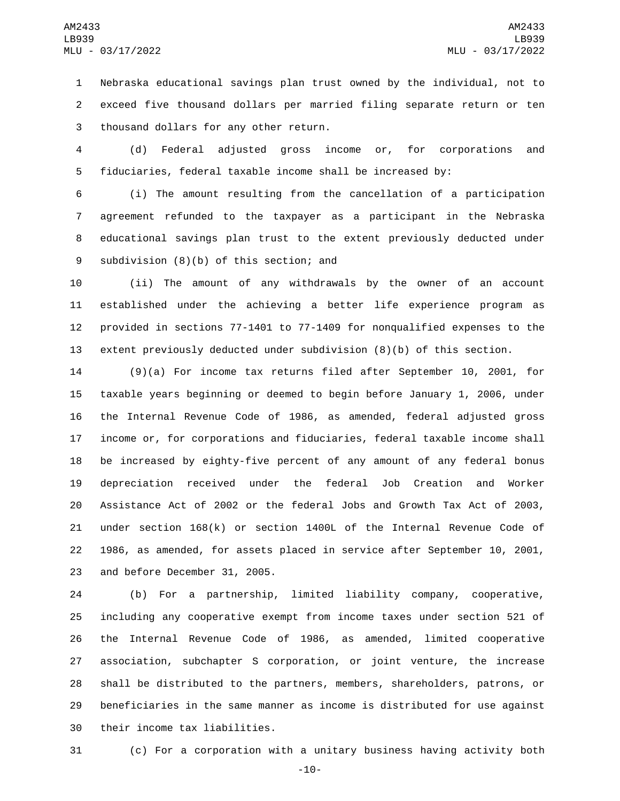Nebraska educational savings plan trust owned by the individual, not to exceed five thousand dollars per married filing separate return or ten 3 thousand dollars for any other return.

 (d) Federal adjusted gross income or, for corporations and fiduciaries, federal taxable income shall be increased by:

 (i) The amount resulting from the cancellation of a participation agreement refunded to the taxpayer as a participant in the Nebraska educational savings plan trust to the extent previously deducted under 9 subdivision (8)(b) of this section; and

 (ii) The amount of any withdrawals by the owner of an account established under the achieving a better life experience program as provided in sections 77-1401 to 77-1409 for nonqualified expenses to the extent previously deducted under subdivision (8)(b) of this section.

 (9)(a) For income tax returns filed after September 10, 2001, for taxable years beginning or deemed to begin before January 1, 2006, under the Internal Revenue Code of 1986, as amended, federal adjusted gross income or, for corporations and fiduciaries, federal taxable income shall be increased by eighty-five percent of any amount of any federal bonus depreciation received under the federal Job Creation and Worker Assistance Act of 2002 or the federal Jobs and Growth Tax Act of 2003, under section 168(k) or section 1400L of the Internal Revenue Code of 1986, as amended, for assets placed in service after September 10, 2001, 23 and before December 31, 2005.

 (b) For a partnership, limited liability company, cooperative, including any cooperative exempt from income taxes under section 521 of the Internal Revenue Code of 1986, as amended, limited cooperative association, subchapter S corporation, or joint venture, the increase shall be distributed to the partners, members, shareholders, patrons, or beneficiaries in the same manner as income is distributed for use against 30 their income tax liabilities.

(c) For a corporation with a unitary business having activity both

-10-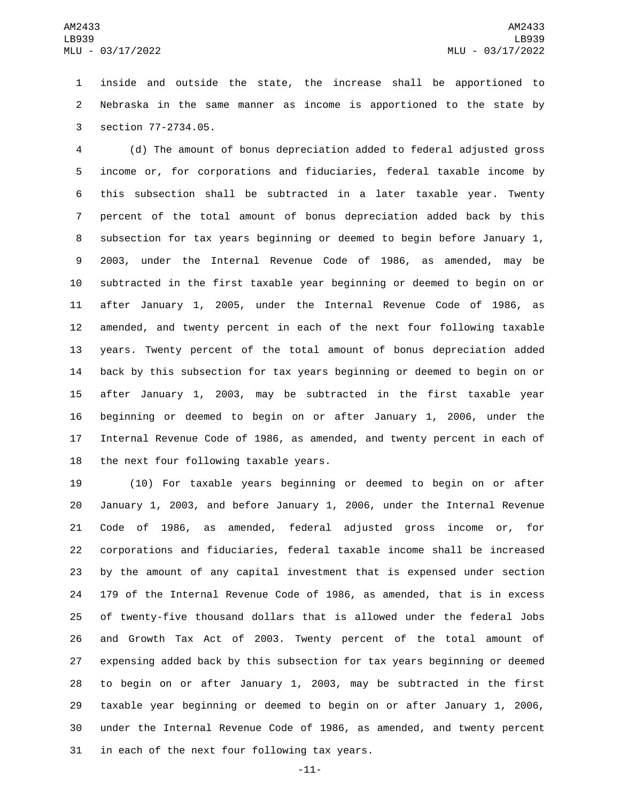inside and outside the state, the increase shall be apportioned to Nebraska in the same manner as income is apportioned to the state by 3 section 77-2734.05.

 (d) The amount of bonus depreciation added to federal adjusted gross income or, for corporations and fiduciaries, federal taxable income by this subsection shall be subtracted in a later taxable year. Twenty percent of the total amount of bonus depreciation added back by this subsection for tax years beginning or deemed to begin before January 1, 2003, under the Internal Revenue Code of 1986, as amended, may be subtracted in the first taxable year beginning or deemed to begin on or after January 1, 2005, under the Internal Revenue Code of 1986, as amended, and twenty percent in each of the next four following taxable years. Twenty percent of the total amount of bonus depreciation added back by this subsection for tax years beginning or deemed to begin on or after January 1, 2003, may be subtracted in the first taxable year beginning or deemed to begin on or after January 1, 2006, under the Internal Revenue Code of 1986, as amended, and twenty percent in each of 18 the next four following taxable years.

 (10) For taxable years beginning or deemed to begin on or after January 1, 2003, and before January 1, 2006, under the Internal Revenue Code of 1986, as amended, federal adjusted gross income or, for corporations and fiduciaries, federal taxable income shall be increased by the amount of any capital investment that is expensed under section 179 of the Internal Revenue Code of 1986, as amended, that is in excess of twenty-five thousand dollars that is allowed under the federal Jobs and Growth Tax Act of 2003. Twenty percent of the total amount of expensing added back by this subsection for tax years beginning or deemed to begin on or after January 1, 2003, may be subtracted in the first taxable year beginning or deemed to begin on or after January 1, 2006, under the Internal Revenue Code of 1986, as amended, and twenty percent 31 in each of the next four following tax years.

-11-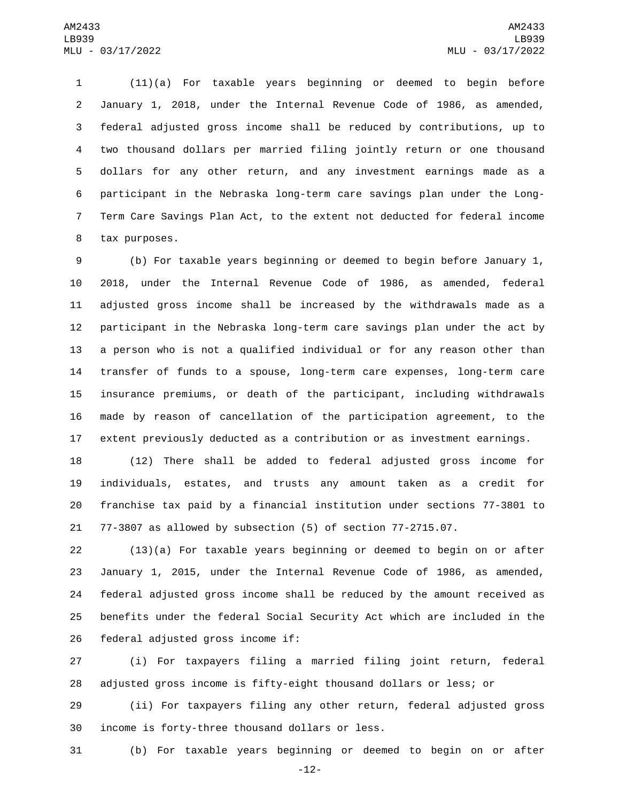(11)(a) For taxable years beginning or deemed to begin before January 1, 2018, under the Internal Revenue Code of 1986, as amended, federal adjusted gross income shall be reduced by contributions, up to two thousand dollars per married filing jointly return or one thousand dollars for any other return, and any investment earnings made as a participant in the Nebraska long-term care savings plan under the Long- Term Care Savings Plan Act, to the extent not deducted for federal income 8 tax purposes.

 (b) For taxable years beginning or deemed to begin before January 1, 2018, under the Internal Revenue Code of 1986, as amended, federal adjusted gross income shall be increased by the withdrawals made as a participant in the Nebraska long-term care savings plan under the act by a person who is not a qualified individual or for any reason other than transfer of funds to a spouse, long-term care expenses, long-term care insurance premiums, or death of the participant, including withdrawals made by reason of cancellation of the participation agreement, to the extent previously deducted as a contribution or as investment earnings.

 (12) There shall be added to federal adjusted gross income for individuals, estates, and trusts any amount taken as a credit for franchise tax paid by a financial institution under sections 77-3801 to 77-3807 as allowed by subsection (5) of section 77-2715.07.

 (13)(a) For taxable years beginning or deemed to begin on or after January 1, 2015, under the Internal Revenue Code of 1986, as amended, federal adjusted gross income shall be reduced by the amount received as benefits under the federal Social Security Act which are included in the 26 federal adjusted gross income if:

 (i) For taxpayers filing a married filing joint return, federal adjusted gross income is fifty-eight thousand dollars or less; or

 (ii) For taxpayers filing any other return, federal adjusted gross 30 income is forty-three thousand dollars or less.

(b) For taxable years beginning or deemed to begin on or after

-12-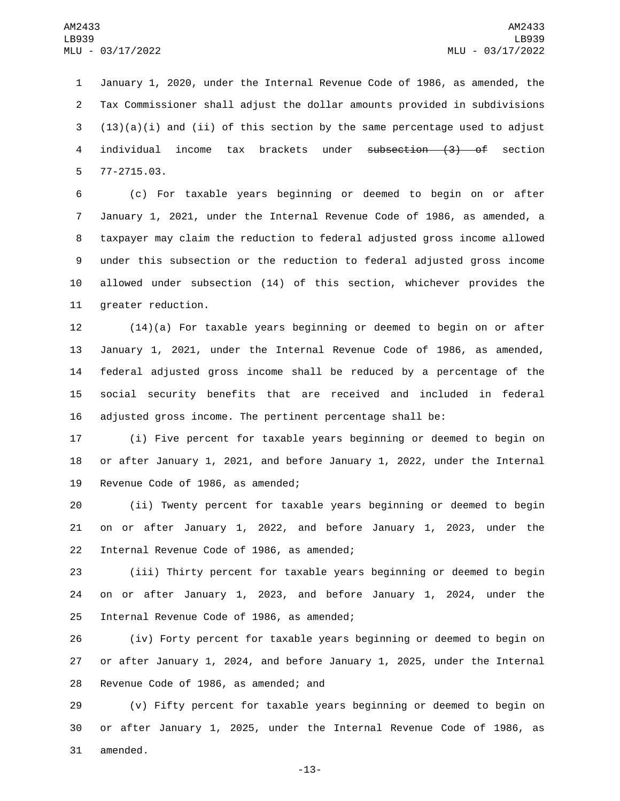January 1, 2020, under the Internal Revenue Code of 1986, as amended, the Tax Commissioner shall adjust the dollar amounts provided in subdivisions  $(13)(a)(i)$  and (ii) of this section by the same percentage used to adjust individual income tax brackets under subsection (3) of section 77-2715.03.5

 (c) For taxable years beginning or deemed to begin on or after January 1, 2021, under the Internal Revenue Code of 1986, as amended, a taxpayer may claim the reduction to federal adjusted gross income allowed under this subsection or the reduction to federal adjusted gross income allowed under subsection (14) of this section, whichever provides the 11 greater reduction.

 (14)(a) For taxable years beginning or deemed to begin on or after January 1, 2021, under the Internal Revenue Code of 1986, as amended, federal adjusted gross income shall be reduced by a percentage of the social security benefits that are received and included in federal adjusted gross income. The pertinent percentage shall be:

 (i) Five percent for taxable years beginning or deemed to begin on or after January 1, 2021, and before January 1, 2022, under the Internal 19 Revenue Code of 1986, as amended;

 (ii) Twenty percent for taxable years beginning or deemed to begin on or after January 1, 2022, and before January 1, 2023, under the 22 Internal Revenue Code of 1986, as amended;

 (iii) Thirty percent for taxable years beginning or deemed to begin on or after January 1, 2023, and before January 1, 2024, under the 25 Internal Revenue Code of 1986, as amended;

 (iv) Forty percent for taxable years beginning or deemed to begin on or after January 1, 2024, and before January 1, 2025, under the Internal 28 Revenue Code of 1986, as amended; and

 (v) Fifty percent for taxable years beginning or deemed to begin on or after January 1, 2025, under the Internal Revenue Code of 1986, as 31 amended.

-13-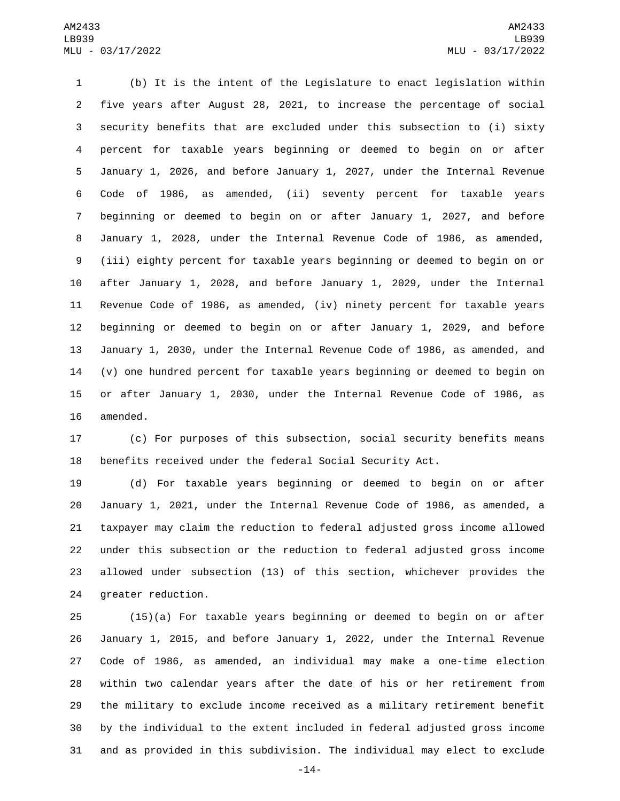(b) It is the intent of the Legislature to enact legislation within five years after August 28, 2021, to increase the percentage of social security benefits that are excluded under this subsection to (i) sixty percent for taxable years beginning or deemed to begin on or after January 1, 2026, and before January 1, 2027, under the Internal Revenue Code of 1986, as amended, (ii) seventy percent for taxable years beginning or deemed to begin on or after January 1, 2027, and before January 1, 2028, under the Internal Revenue Code of 1986, as amended, (iii) eighty percent for taxable years beginning or deemed to begin on or after January 1, 2028, and before January 1, 2029, under the Internal Revenue Code of 1986, as amended, (iv) ninety percent for taxable years beginning or deemed to begin on or after January 1, 2029, and before January 1, 2030, under the Internal Revenue Code of 1986, as amended, and (v) one hundred percent for taxable years beginning or deemed to begin on or after January 1, 2030, under the Internal Revenue Code of 1986, as 16 amended.

 (c) For purposes of this subsection, social security benefits means benefits received under the federal Social Security Act.

 (d) For taxable years beginning or deemed to begin on or after January 1, 2021, under the Internal Revenue Code of 1986, as amended, a taxpayer may claim the reduction to federal adjusted gross income allowed under this subsection or the reduction to federal adjusted gross income allowed under subsection (13) of this section, whichever provides the 24 greater reduction.

 (15)(a) For taxable years beginning or deemed to begin on or after January 1, 2015, and before January 1, 2022, under the Internal Revenue Code of 1986, as amended, an individual may make a one-time election within two calendar years after the date of his or her retirement from the military to exclude income received as a military retirement benefit by the individual to the extent included in federal adjusted gross income and as provided in this subdivision. The individual may elect to exclude

-14-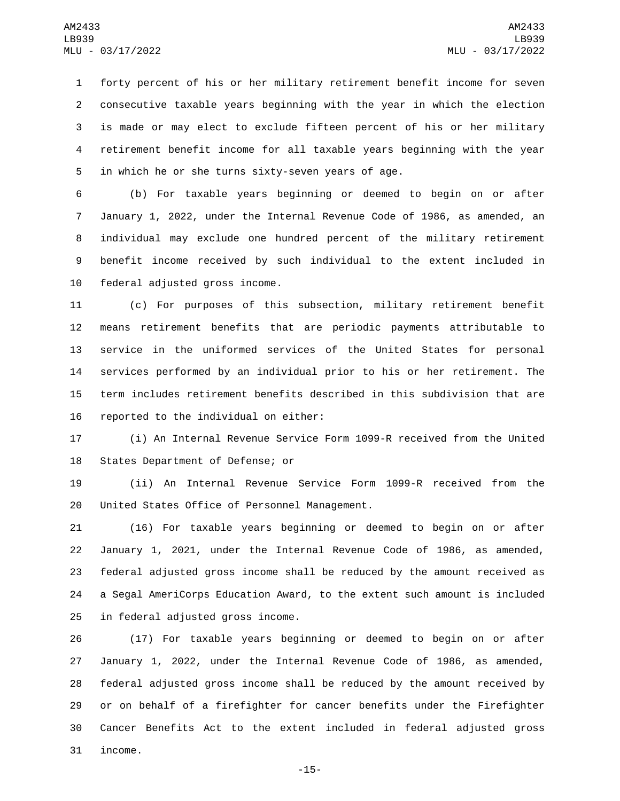forty percent of his or her military retirement benefit income for seven consecutive taxable years beginning with the year in which the election is made or may elect to exclude fifteen percent of his or her military retirement benefit income for all taxable years beginning with the year 5 in which he or she turns sixty-seven years of age.

 (b) For taxable years beginning or deemed to begin on or after January 1, 2022, under the Internal Revenue Code of 1986, as amended, an individual may exclude one hundred percent of the military retirement benefit income received by such individual to the extent included in 10 federal adjusted gross income.

 (c) For purposes of this subsection, military retirement benefit means retirement benefits that are periodic payments attributable to service in the uniformed services of the United States for personal services performed by an individual prior to his or her retirement. The term includes retirement benefits described in this subdivision that are 16 reported to the individual on either:

 (i) An Internal Revenue Service Form 1099-R received from the United 18 States Department of Defense; or

 (ii) An Internal Revenue Service Form 1099-R received from the 20 United States Office of Personnel Management.

 (16) For taxable years beginning or deemed to begin on or after January 1, 2021, under the Internal Revenue Code of 1986, as amended, federal adjusted gross income shall be reduced by the amount received as a Segal AmeriCorps Education Award, to the extent such amount is included 25 in federal adjusted gross income.

 (17) For taxable years beginning or deemed to begin on or after January 1, 2022, under the Internal Revenue Code of 1986, as amended, federal adjusted gross income shall be reduced by the amount received by or on behalf of a firefighter for cancer benefits under the Firefighter Cancer Benefits Act to the extent included in federal adjusted gross 31 income.

-15-